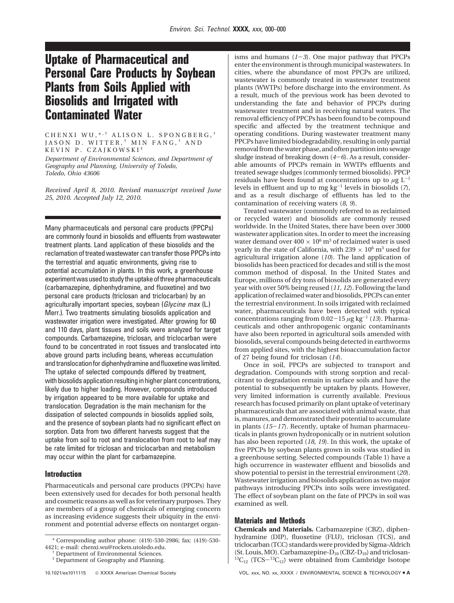# **Uptake of Pharmaceutical and Personal Care Products by Soybean Plants from Soils Applied with Biosolids and Irrigated with Contaminated Water**

CHENXI WU, \* , † ALISON L. SPONGBERG, † JASON D. WITTER, † MIN FANG, † AND KEVIN P. CZAJKOWSKI ‡

*Department of Environmental Sciences, and Department of Geography and Planning, University of Toledo, Toledo, Ohio 43606*

*Received April 8, 2010. Revised manuscript received June 25, 2010. Accepted July 12, 2010.*

Many pharmaceuticals and personal care products (PPCPs) are commonly found in biosolids and effluents from wastewater treatment plants. Land application of these biosolids and the reclamation of treated wastewater can transfer those PPCPs into the terrestrial and aquatic environments, giving rise to potential accumulation in plants. In this work, a greenhouse experiment was used to study the uptake of three pharmaceuticals (carbamazepine, diphenhydramine, and fluoxetine) and two personal care products (triclosan and triclocarban) by an agriculturally important species, soybean (*Glycine max* (L.) Merr.). Two treatments simulating biosolids application and wastewater irrigation were investigated. After growing for 60 and 110 days, plant tissues and soils were analyzed for target compounds. Carbamazepine, triclosan, and triclocarban were found to be concentrated in root tissues and translocated into above ground parts including beans, whereas accumulation and translocation for diphenhydramine and fluoxetine was limited. The uptake of selected compounds differed by treatment, with biosolids application resulting in higher plant concentrations, likely due to higher loading. However, compounds introduced by irrigation appeared to be more available for uptake and translocation. Degradation is the main mechanism for the dissipation of selected compounds in biosolids applied soils, and the presence of soybean plants had no significant effect on sorption. Data from two different harvests suggest that the uptake from soil to root and translocation from root to leaf may be rate limited for triclosan and triclocarban and metabolism may occur within the plant for carbamazepine.

# **Introduction**

Pharmaceuticals and personal care products (PPCPs) have been extensively used for decades for both personal health and cosmetic reasons as well as for veterinary purposes. They are members of a group of chemicals of emerging concern as increasing evidence suggests their ubiquity in the environment and potential adverse effects on nontarget organisms and humans (*1*-*3*). One major pathway that PPCPs enter the environment is through municipal wastewaters. In cities, where the abundance of most PPCPs are utilized, wastewater is commonly treated in wastewater treatment plants (WWTPs) before discharge into the environment. As a result, much of the previous work has been devoted to understanding the fate and behavior of PPCPs during wastewater treatment and in receiving natural waters. The removal efficiency of PPCPs has been found to be compound specific and affected by the treatment technique and operating conditions. During wastewater treatment many PPCPs have limited biodegradability, resulting in only partial removal from the water phase, and often partition into sewage sludge instead of breaking down (*4*-*6*). As a result, considerable amounts of PPCPs remain in WWTPs effluents and treated sewage sludges (commonly termed biosolids). PPCP residuals have been found at concentrations up to  $\mu$ g L<sup>-1</sup> levels in effluent and up to mg  $\text{kg}^{-1}$  levels in biosolids (7), and as a result discharge of effluents has led to the contamination of receiving waters (*8, 9*).

Treated wastewater (commonly referred to as reclaimed or recycled water) and biosolids are commonly reused worldwide. In the United States, there have been over 3000 wastewater application sites. In order to meet the increasing water demand over  $400 \times 10^6$  m<sup>3</sup> of reclaimed water is used yearly in the state of California, with 239  $\times$  10<sup>6</sup> m<sup>3</sup> used for agricultural irrigation alone (*10*). The land application of biosolids has been practiced for decades and still is the most common method of disposal. In the United States and Europe, millions of dry tons of biosolids are generated every year with over 50% being reused (*11, 12*). Following the land application of reclaimed water and biosolids, PPCPs can enter the terrestrial environment. In soils irrigated with reclaimed water, pharmaceuticals have been detected with typical concentrations ranging from  $0.02-15 \mu g kg^{-1}$  (*13*). Pharmaceuticals and other anthropogenic organic contaminants have also been reported in agricultural soils amended with biosolids, several compounds being detected in earthworms from applied sites, with the highest bioaccumulation factor of 27 being found for triclosan (*14*).

Once in soil, PPCPs are subjected to transport and degradation. Compounds with strong sorption and recalcitrant to degradation remain in surface soils and have the potential to subsequently be uptaken by plants. However, very limited information is currently available. Previous research has focused primarily on plant uptake of veterinary pharmaceuticals that are associated with animal waste, that is, manures, and demonstrated their potential to accumulate in plants (*15*-*17*). Recently, uptake of human pharmaceuticals in plants grown hydroponically or in nutrient solution has also been reported (*18, 19*). In this work, the uptake of five PPCPs by soybean plants grown in soils was studied in a greenhouse setting. Selected compounds (Table 1) have a high occurrence in wastewater effluent and biosolids and show potential to persist in the terrestrial environment (*20*). Wastewater irrigation and biosolids application as two major pathways introducing PPCPs into soils were investigated. The effect of soybean plant on the fate of PPCPs in soil was examined as well.

## **Materials and Methods**

**Chemicals and Materials.** Carbamazepine (CBZ), diphenhydramine (DIP), fluoxetine (FLU), triclosan (TCS), and triclocarban (TCC) standards were provided by Sigma-Aldrich (St. Louis, MO). Carbamazepine- $D_{10}$  (CBZ- $D_{10}$ ) and triclosan- ${}^{13}C_{12}$  (TCS- ${}^{13}C_{12}$ ) were obtained from Cambridge Isotope

<sup>\*</sup> Corresponding author phone: (419)-530-2986; fax: (419)-530- 4421; e-mail: chenxi.wu@rockets.utoledo.edu. † Department of Environmental Sciences.

<sup>‡</sup> Department of Geography and Planning.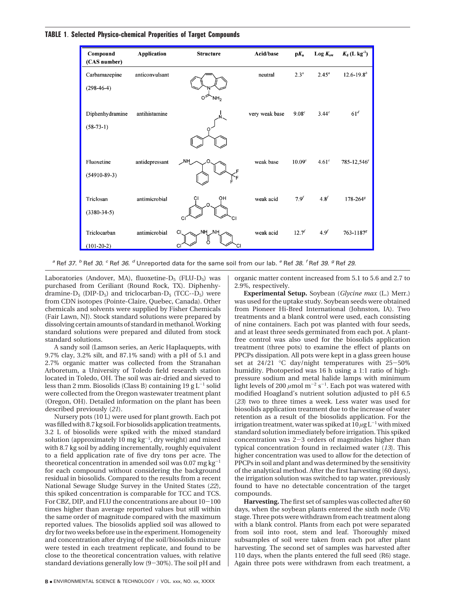#### **TABLE 1**. **Selected Physico-chemical Properities of Target Compounds**

| Compound<br>(CAS number) | <b>Application</b> | <b>Structure</b>       | Acid/base      | $pK_{a}$           | $Log K_{ow}$      | $K_d$ (L kg <sup>-1</sup> ) |
|--------------------------|--------------------|------------------------|----------------|--------------------|-------------------|-----------------------------|
| Carbamazepine            | anticonvulsant     |                        | neutral        | 2.3 <sup>a</sup>   | $2.45^{a}$        | $12.6 - 19.8$ <sup>b</sup>  |
| $(298-46-4)$             |                    | Ωŕ<br>`NH <sub>2</sub> |                |                    |                   |                             |
| Diphenhydramine          | antihistamine      |                        | very weak base | 9.08 <sup>c</sup>  | 3.44 <sup>c</sup> | 61 <sup>d</sup>             |
| $(58-73-1)$              |                    |                        |                |                    |                   |                             |
|                          |                    |                        |                |                    |                   |                             |
| Fluoxetine               | antidepressant     | $\sim$ NH              | weak base      | 10.09 <sup>c</sup> | 4.61 <sup>c</sup> | $785 - 12,546$ <sup>e</sup> |
| $(54910 - 89 - 3)$       |                    |                        |                |                    |                   |                             |
| Triclosan                | antimicrobial      | OН<br>O                | weak acid      | 7.9 <sup>f</sup>   | 4.8 <sup>f</sup>  | $178 - 264$ <sup>g</sup>    |
| $(3380 - 34 - 5)$        |                    | CI                     |                |                    |                   |                             |
| Triclocarban             | antimicrobial      | NΗ<br>C                | weak acid      | $12.7^{f}$         | $4.9^{f}$         | $763 - 1187$ <sup>g</sup>   |
| $(101-20-2)$             |                    | CI                     |                |                    |                   |                             |

*<sup>a</sup>* Ref *37*. *<sup>b</sup>* Ref *30*. *<sup>c</sup>* Ref *36*. *<sup>d</sup>* Unreported data for the same soil from our lab. *<sup>e</sup>* Ref *38*. *<sup>f</sup>* Ref *39*. *<sup>g</sup>* Ref *29*.

Laboratories (Andover, MA), fluoxetine-D<sub>5</sub> (FLU-D<sub>5</sub>) was purchased from Ceriliant (Round Rock, TX). Diphenhydramine- $D_5$  (DIP- $D_5$ ) and triclocarban- $D_5$  (TCC-- $D_5$ ) were from CDN isotopes (Pointe-Claire, Quebec, Canada). Other chemicals and solvents were supplied by Fisher Chemicals (Fair Lawn, NJ). Stock standard solutions were prepared by dissolving certain amounts of standard in methanol. Working standard solutions were prepared and diluted from stock standard solutions.

A sandy soil (Lamson series, an Aeric Haplaquepts, with 9.7% clay, 3.2% silt, and 87.1% sand) with a pH of 5.1 and 2.7% organic matter was collected from the Stranahan Arboretum, a University of Toledo field research station located in Toledo, OH. The soil was air-dried and sieved to less than 2 mm. Biosolids (Class B) containing 19 g  $L^{-1}$  solid were collected from the Oregon wastewater treatment plant (Oregon, OH). Detailed information on the plant has been described previously (*21*).

Nursery pots (10 L) were used for plant growth. Each pot was filled with 8.7 kg soil. For biosolids application treatments, 3.2 L of biosolids were spiked with the mixed standard solution (approximately 10  $mg\ kg^{-1}$ , dry weight) and mixed with 8.7 kg soil by adding incrementally, roughly equivalent to a field application rate of five dry tons per acre. The theoretical concentration in amended soil was  $0.07$  mg kg<sup>-1</sup> for each compound without considering the background residual in biosolids. Compared to the results from a recent National Sewage Sludge Survey in the United States (*22*), this spiked concentration is comparable for TCC and TCS. For CBZ, DIP, and FLU the concentrations are about 10-<sup>100</sup> times higher than average reported values but still within the same order of magnitude compared with the maximum reported values. The biosolids applied soil was allowed to dry for two weeks before use in the experiment. Homogeneity and concentration after drying of the soil/biosolids mixture were tested in each treatment replicate, and found to be close to the theoretical concentration values, with relative standard deviations generally low (9-30%). The soil pH and organic matter content increased from 5.1 to 5.6 and 2.7 to 2.9%, respectively.

**Experimental Setup.** Soybean (*Glycine max* (L.) Merr.) was used for the uptake study. Soybean seeds were obtained from Pioneer Hi-Bred International (Johnston, IA). Two treatments and a blank control were used, each consisting of nine containers. Each pot was planted with four seeds, and at least three seeds germinated from each pot. A plantfree control was also used for the biosolids application treatment (three pots) to examine the effect of plants on PPCPs dissipation. All pots were kept in a glass green house set at 24/21 °C day/night temperatures with 25-50% humidity. Photoperiod was 16 h using a 1:1 ratio of highpressure sodium and metal halide lamps with minimum light levels of 200  $\mu$ mol m $^{-2}$  s $^{-1}$ . Each pot was watered with modified Hoagland's nutrient solution adjusted to pH 6.5 (*23*) two to three times a week. Less water was used for biosolids application treatment due to the increase of water retention as a result of the biosolids application. For the irrigation treatment, water was spiked at  $10 \mu g L^{-1}$  with mixed standard solution immediately before irrigation. This spiked concentration was 2-3 orders of magnitudes higher than typical concentration found in reclaimed water (*13*). This higher concentration was used to allow for the detection of PPCPs in soil and plant and was determined by the sensitivity of the analytical method. After the first harvesting (60 days), the irrigation solution was switched to tap water, previously found to have no detectable concentration of the target compounds.

**Harvesting.** The first set of samples was collected after 60 days, when the soybean plants entered the sixth node (V6) stage. Three pots were withdrawn from each treatment along with a blank control. Plants from each pot were separated from soil into root, stem and leaf. Thoroughly mixed subsamples of soil were taken from each pot after plant harvesting. The second set of samples was harvested after 110 days, when the plants entered the full seed (R6) stage. Again three pots were withdrawn from each treatment, a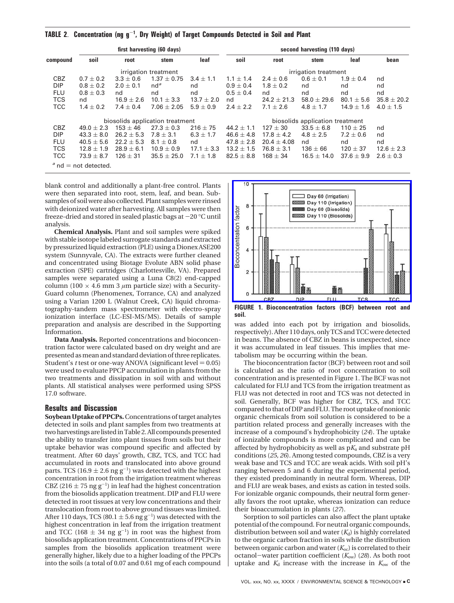|                        | first harvesting (60 days)      |                |                 |                | second harvesting (110 days)    |                 |                 |                |                 |  |  |
|------------------------|---------------------------------|----------------|-----------------|----------------|---------------------------------|-----------------|-----------------|----------------|-----------------|--|--|
| compound               | soil                            | root           | stem            | leaf           | soil                            | root            | stem            | leaf           | bean            |  |  |
|                        | irrigation treatment            |                |                 |                | irrigation treatment            |                 |                 |                |                 |  |  |
| CBZ                    | $0.7 \pm 0.2$                   | $3.3 \pm 0.6$  | $1.37 \pm 0.75$ | $3.4 \pm 1.1$  | $1.1 \pm 1.4$                   | $2.4 \pm 0.6$   | $0.6 \pm 0.1$   | $1.9 \pm 0.4$  | nd              |  |  |
| <b>DIP</b>             | $0.8\pm0.2$                     | $2.0 \pm 0.1$  | nd <sup>a</sup> | nd             | $0.9 \pm 0.4$                   | $1.8 \pm 0.2$   | nd              | nd             | nd              |  |  |
| <b>FLU</b>             | $0.8 \pm 0.3$                   | nd             | nd              | nd             | $0.5 + 0.4$                     | nd              | nd              | nd             | nd              |  |  |
| <b>TCS</b>             | nd                              | $16.9 \pm 2.6$ | $10.1 \pm 3.3$  | $13.7 \pm 2.0$ | nd                              | $24.2 \pm 21.3$ | $58.0 \pm 29.6$ | $80.1 \pm 5.6$ | $35.8 \pm 20.2$ |  |  |
| <b>TCC</b>             | $1.4 \pm 0.2$                   | $7.4 \pm 0.4$  | $7.06 \pm 2.05$ | $5.9 \pm 0.9$  | $2.4 \pm 2.2$                   | $7.1 \pm 2.6$   | $4.8 \pm 1.7$   | $14.9 \pm 1.6$ | $4.0 \pm 1.5$   |  |  |
|                        | biosolids application treatment |                |                 |                | biosolids application treatment |                 |                 |                |                 |  |  |
| CBZ                    | $49.0 \pm 2.3$                  | $153 \pm 46$   | $27.3 \pm 0.3$  | $216 \pm 75$   | 44.2 $\pm$ 1.1                  | $127 \pm 30$    | $33.5 \pm 6.8$  | $110 \pm 25$   | nd              |  |  |
| <b>DIP</b>             | $43.3 + 8.0$                    | $26.2 + 5.3$   | $7.8 \pm 3.1$   | $6.3 + 1.7$    | $46.6 \pm 4.8$                  | $17.8 \pm 4.2$  | $4.8 \pm 2.5$   | $7.2 \pm 0.6$  | nd              |  |  |
| <b>FLU</b>             | $40.5 \pm 5.6$                  | $22.2 + 5.3$   | $8.1 + 0.8$     | nd             | $47.8 \pm 2.8$                  | $20.4 \pm 4.08$ | nd              | nd             | nd              |  |  |
| <b>TCS</b>             | $12.8 \pm 1.9$                  | $28.9 \pm 6.1$ | $10.9 \pm 0.9$  | $17.1 \pm 3.3$ | $13.2 \pm 1.5$                  | $76.8 \pm 3.1$  | $136 \pm 66$    | $120 \pm 37$   | $12.6 \pm 2.3$  |  |  |
| <b>TCC</b>             | $73.9 \pm 8.7$                  | $126 + 31$     | $35.5 \pm 25.0$ | $7.1 \pm 1.8$  | $82.5 \pm 8.8$                  | $168 \pm 34$    | $16.5 \pm 14.0$ | $37.6 + 9.9$   | $2.6 \pm 0.3$   |  |  |
| $a$ nd = not detected. |                                 |                |                 |                |                                 |                 |                 |                |                 |  |  |

blank control and additionally a plant-free control. Plants were then separated into root, stem, leaf, and bean. Subsamples of soil were also collected. Plant samples were rinsed with deionized water after harvesting. All samples were then freeze-dried and stored in sealed plastic bags at  $-20$  °C until analysis.

**Chemical Analysis.** Plant and soil samples were spiked with stable isotope labeled surrogate standards and extracted by pressurized liquid extraction (PLE) using a Dionex ASE200 system (Sunnyvale, CA). The extracts were further cleaned and concentrated using Biotage Evolute ABN solid phase extraction (SPE) cartridges (Charlottesville, VA). Prepared samples were separated using a Luna C8(2) end-capped column (100  $\times$  4.6 mm 3  $\mu$ m particle size) with a Security-Guard column (Phenomenex, Torrance, CA) and analyzed using a Varian 1200 L (Walnut Creek, CA) liquid chromatography-tandem mass spectrometer with electro-spray ionization interface (LC-ESI-MS/MS). Details of sample preparation and analysis are described in the Supporting Information.

**Data Analysis.** Reported concentrations and bioconcentration factor were calculated based on dry weight and are presented as mean and standard deviation of three replicates. Student's *t* test or one-way ANOVA (significant level  $= 0.05$ ) were used to evaluate PPCP accumulation in plants from the two treatments and dissipation in soil with and without plants. All statistical analyses were performed using SPSS 17.0 software.

## **Results and Discussion**

**Soybean Uptake of PPCPs.**Concentrations of target analytes detected in soils and plant samples from two treatments at two harvestings are listed in Table 2. All compounds presented the ability to transfer into plant tissues from soils but their uptake behavior was compound specific and affected by treatment. After 60 days' growth, CBZ, TCS, and TCC had accumulated in roots and translocated into above ground parts. TCS (16.9  $\pm$  2.6 ng g<sup>-1</sup>) was detected with the highest<br>concentration in root from the irrigation treatment whereas concentration in root from the irrigation treatment whereas CBZ (216  $\pm$  75 ng g<sup>-1</sup>) in leaf had the highest concentration<br>from the biosolids application treatment. DIP and ELU were from the biosolids application treatment. DIP and FLU were detected in root tissues at very low concentrations and their translocation from root to above ground tissues was limited. After 110 days, TCS (80.1  $\pm$  5.6 ng g<sup>-1</sup>) was detected with the<br>highest concentration in leaf from the irrigation treatment highest concentration in leaf from the irrigation treatment and TCC (168  $\pm$  34 ng g<sup>-1</sup>) in root was the highest from<br>biosolids annication treatment Concentrations of PPCPs in biosolids application treatment. Concentrations of PPCPs in samples from the biosolids application treatment were generally higher, likely due to a higher loading of the PPCPs into the soils (a total of 0.07 and 0.61 mg of each compound



**soil.**

was added into each pot by irrigation and biosolids, respectively). After 110 days, only TCS and TCC were detected in beans. The absence of CBZ in beans is unexpected, since it was accumulated in leaf tissues. This implies that metabolism may be occurring within the bean.

The bioconcentration factor (BCF) between root and soil is calculated as the ratio of root concentration to soil concentration and is presented in Figure 1. The BCF was not calculated for FLU and TCS from the irrigation treatment as FLU was not detected in root and TCS was not detected in soil. Generally, BCF was higher for CBZ, TCS, and TCC compared to that of DIP and FLU. The root uptake of nonionic organic chemicals from soil solution is considered to be a partition related process and generally increases with the increase of a compound's hydrophobicity (*24*). The uptake of ionizable compounds is more complicated and can be affected by hydrophobicity as well as  $pK_a$  and substrate  $pH$ conditions (*25, 26*). Among tested compounds, CBZ is a very weak base and TCS and TCC are weak acids. With soil pH's ranging between 5 and 6 during the experimental period, they existed predominantly in neutral form. Whereas, DIP and FLU are weak bases, and exists as cation in tested soils. For ionizable organic compounds, their neutral form generally favors the root uptake, whereas ionization can reduce their bioaccumulation in plants (*27*).

Sorption to soil particles can also affect the plant uptake potential of the compound. For neutral organic compounds, distribution between soil and water  $(K_d)$  is highly correlated to the organic carbon fraction in soils while the distribution between organic carbon and water  $(K_{oc})$  is correlated to their octanol-water partition coefficient ( $K_{ow}$ ) (28). As both root uptake and  $K_d$  increase with the increase in  $K_{ow}$  of the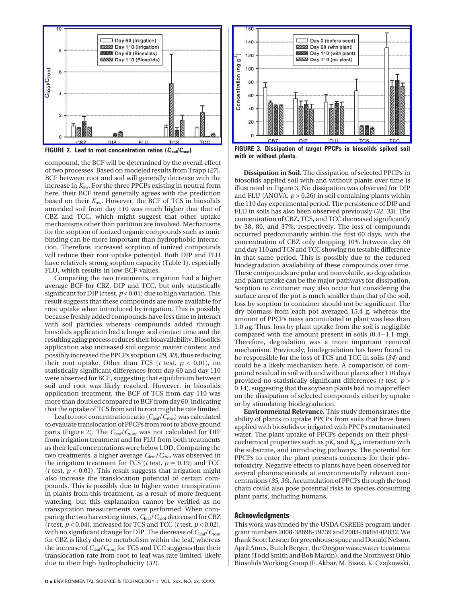

compound, the BCF will be determined by the overall effect of two processes. Based on modeled results from Trapp (*27*), BCF between root and soil will generally decrease with the increase in *K*ow. For the three PPCPs existing in neutral form here, their BCF trend generally agrees with the prediction based on their *K*ow. However, the BCF of TCS in biosolids amended soil from day 110 was much higher that that of CBZ and TCC, which might suggest that other uptake mechanisms other than partition are involved. Mechanisms for the sorption of ionized organic compounds such as ionic binding can be more important than hydrophobic interaction. Therefore, increased sorption of ionized compounds will reduce their root uptake potential. Both DIP and FLU have relatively strong sorption capacity (Table 1), especially FLU, which results in low BCF values.

Comparing the two treatments, irrigation had a higher average BCF for CBZ, DIP and TCC, but only statistically significant for DIP (*t* test, *p* < 0.01) due to high variation. This result suggests that these compounds are more available for root uptake when introduced by irrigation. This is possibly because freshly added compounds have less time to interact with soil particles whereas compounds added through biosolids application had a longer soil contact time and the resulting aging process reduces their bioavailability. Biosolids application also increased soil organic matter content and possibly increased the PPCPs sorption (*29, 30*), thus reducing their root uptake. Other than TCS ( $t$  test,  $p < 0.01$ ), no statistically significant differences from day 60 and day 110 were observed for BCF, suggesting that equilibrium between soil and root was likely reached. However, in biosolids application treatment, the BCF of TCS from day 110 was more than doubled compared to BCF from day 60, indicating that the uptake of TCS from soil to root might be rate limited.

Leaf to root concentration ratio (*C*leaf/*C*root) was calculated to evaluate translocation of PPCPs from root to above ground parts (Figure 2). The  $C_{\text{leaf}}/C_{\text{root}}$  was not calculated for DIP from irrigation treatment and for FLU from both treatments as their leaf concentrations were below LOD. Comparing the two treatments, a higher average  $C_{\text{leaf}}/C_{\text{root}}$  was observed in the irrigation treatment for TCS ( $t$  test,  $p = 0.19$ ) and TCC ( $t$  test,  $p < 0.01$ ). This result suggests that irrigation might also increase the translocation potential of certain compounds. This is possibly due to higher water transpiration in plants from this treatment, as a result of more frequent watering, but this explanation cannot be verified as no transpiration measurements were performed. When comparing the two harvesting times,  $C_{\text{leaf}}/C_{\text{root}}$  decreased for CBZ ( $t$  test,  $p < 0.04$ ), increased for TCS and TCC ( $t$  test,  $p < 0.02$ ), with no significant change for DIP. The decrease of *C*leaf/*C*root for CBZ is likely due to metabolism within the leaf, whereas the increase of *C*leaf/*C*root for TCS and TCC suggests that their translocation rate from root to leaf was rate limited, likely due to their high hydrophobicity (*31*).



**with or without plants.**

**Dissipation in Soil.** The dissipation of selected PPCPs in biosolids applied soil with and without plants over time is illustrated in Figure 3. No dissipation was observed for DIP and FLU (ANOVA,  $p > 0.26$ ) in soil containing plants within the 110 day experimental period. The persistence of DIP and FLU in soils has also been observed previously (*32, 33*). The concentration of CBZ, TCS, and TCC decreased significantly by 38, 80, and 37%, respectively. The loss of compounds occurred predominantly within the first 60 days, with the concentration of CBZ only dropping 10% between day 60 and day 110 and TCS and TCC showing no testable difference in that same period. This is possibly due to the reduced biodegradation availability of these compounds over time. These compounds are polar and nonvolatile, so degradation and plant uptake can be the major pathways for dissipation. Sorption to container may also occur but considering the surface area of the pot is much smaller than that of the soil, loss by sorption to container should not be significant. The dry biomass from each pot averaged 15.4 g, whereas the amount of PPCPs mass accumulated in plant was less than 1.0 *µ*g. Thus, loss by plant uptake from the soil is negligible compared with the amount present in soils  $(0.4-1.1 \text{ mg})$ . Therefore, degradation was a more important removal mechanism. Previously, biodegradation has been found to be responsible for the loss of TCS and TCC in soils (*34*) and could be a likely mechanism here. A comparison of compound residual in soil with and without plants after 110 days provided no statistically significant differences (*t* test, *p* > 0.14), suggesting that the soybean plants had no major effect on the dissipation of selected compounds either by uptake or by stimulating biodegradation.

**Environmental Relevance.** This study demonstrates the ability of plants to uptake PPCPs from soils that have been applied with biosolids or irrigated with PPCPs contaminated water. The plant uptake of PPCPs depends on their physicochemical properties such as  $pK_a$  and  $K_{ow}$ , interaction with the substrate, and introducing pathways. The potential for PPCPs to enter the plant presents concerns for their phytotoxicity. Negative effects to plants have been observed for several pharmaceuticals at environmentally relevant concentrations (*35, 36*). Accumulation of PPCPs through the food chain could also pose potential risks to species consuming plant parts, including humans.

## **Acknowledgments**

This work was funded by the USDA CSREES program under grant numbers 2008-38898-19239 and 2003-38894-02032. We thank Scott Leisner for greenhouse space and Donald Nelson, April Ames, Butch Berger, the Oregon wastewater treatment plant (Todd Smith and Bob Martin), and the Northwest Ohio Biosolids Working Group (F. Akbar, M. Bisesi, K. Czajkowski,